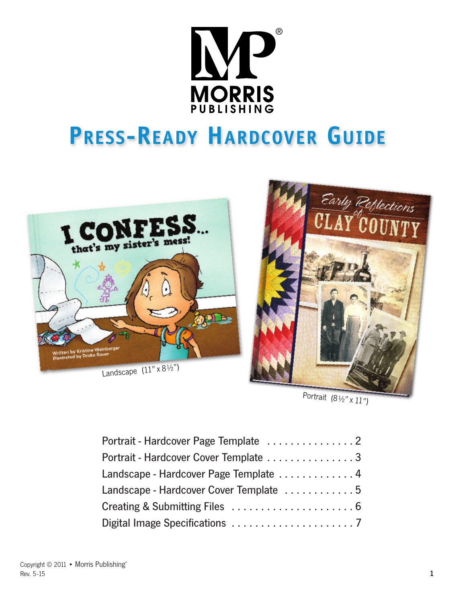

# **PRESS-READY HARDCOVER GUIDE**





Portrait  $(8\frac{1}{2}x$   $x$   $11$ ")

| Portrait - Hardcover Cover Template 3  |  |
|----------------------------------------|--|
| Landscape - Hardcover Page Template 4  |  |
| Landscape - Hardcover Cover Template 5 |  |
|                                        |  |
|                                        |  |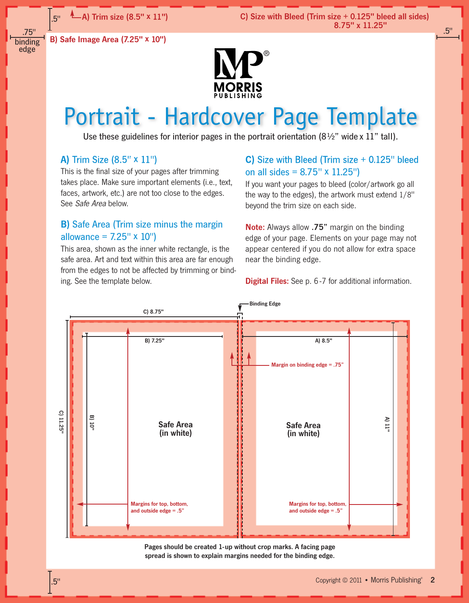C) Size with Bleed (Trim size + 0.125" bleed all sides) 8.75" x 11.25"

.5"

.75" binding edge

.5"

B) Safe Image Area (7.25" x 10")



# Portrait - Hardcover Page Template

Use these guidelines for interior pages in the portrait orientation (8½" wide x 11" tall).

### A) Trim Size (8.5" x 11")

This is the final size of your pages after trimming takes place. Make sure important elements (i.e., text, faces, artwork, etc.) are not too close to the edges. See Safe Area below.

### B) Safe Area (Trim size minus the margin allowance =  $7.25'' \times 10''$

This area, shown as the inner white rectangle, is the safe area. Art and text within this area are far enough from the edges to not be affected by trimming or binding. See the template below.

### C) Size with Bleed (Trim size + 0.125" bleed on all sides = 8.75" x 11.25")

If you want your pages to bleed (color/artwork go all the way to the edges), the artwork must extend 1/8" beyond the trim size on each side.

Note: Always allow .75" margin on the binding edge of your page. Elements on your page may not appear centered if you do not allow for extra space near the binding edge.

**Digital Files:** See p. 6-7 for additional information.



Pages should be created 1-up without crop marks. A facing page spread is shown to explain margins needed for the binding edge.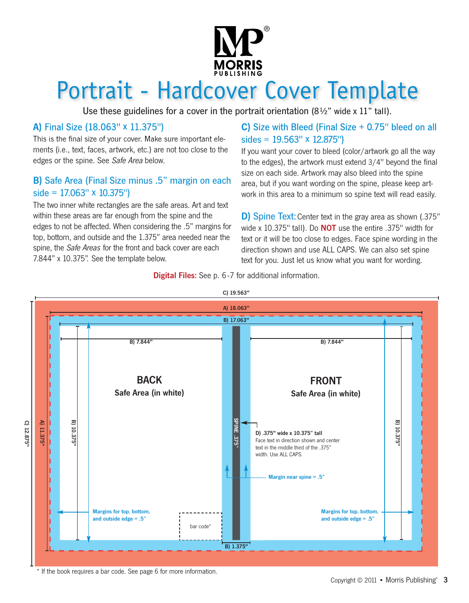

# Portrait - Hardcover Cover Template

Use these guidelines for a cover in the portrait orientation  $(8\frac{1}{2})^n$  wide x 11" tall).

# A) Final Size (18.063" x 11.375")

This is the final size of your cover. Make sure important elements (i.e., text, faces, artwork, etc.) are not too close to the edges or the spine. See Safe Area below.

# B) Safe Area (Final Size minus .5" margin on each  $side = 17.063'' \times 10.375'$

The two inner white rectangles are the safe areas. Art and text within these areas are far enough from the spine and the edges to not be affected. When considering the .5" margins for top, bottom, and outside and the 1.375" area needed near the spine, the *Safe Areas* for the front and back cover are each 7.844" x 10.375". See the template below.

# C) Size with Bleed (Final Size + 0.75" bleed on all sides = 19.563" x 12.875")

If you want your cover to bleed (color/artwork go all the way to the edges), the artwork must extend 3/4" beyond the final size on each side. Artwork may also bleed into the spine area, but if you want wording on the spine, please keep artwork in this area to a minimum so spine text will read easily.

D) Spine Text: Center text in the gray area as shown (.375" wide x 10.375" tall). Do **NOT** use the entire .375" width for text or it will be too close to edges. Face spine wording in the direction shown and use ALL CAPS. We can also set spine text for you. Just let us know what you want for wording.

**Digital Files:** See p. 6-7 for additional information.



\* If the book requires a bar code. See page 6 for more information.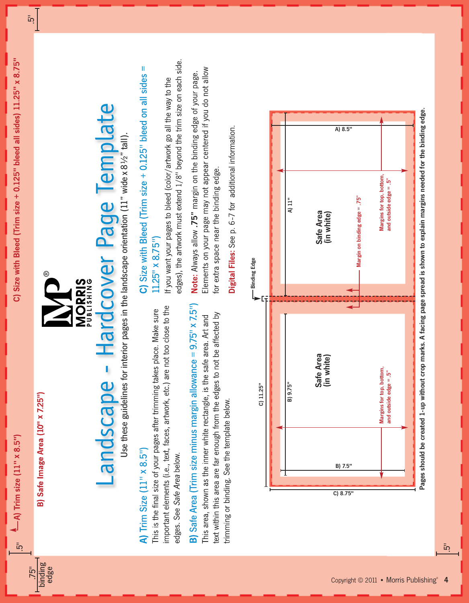$\overline{5}$ 

.75"

binding edge

.5"

B) Safe Image Area (10" x 7.25") B) Safe Image Area (10" x 7.25")



®

# Landscape - Hardcover Page Template Landscape - Hardcover Page Template

Use these guidelines for interior pages in the landscape orientation (11" wide x 8½" tall). Use these guidelines for interior pages in the landscape orientation (11" wide x  $8\frac{1}{2}$ " tall)

# A) Trim Size (11" x 8.5") A) Trim Size  $(11" \times 8.5")$

mportant elements (i.e., text, faces, artwork, etc.) are not too close to the important elements (i.e., text, faces, artwork, etc.) are not too close to the This is the final size of your pages after trimming takes place. Make sure This is the final size of your pages after trimming takes place. Make sure edges. See Safe Area below. edges. See Safe Area below.

# B) Safe Area (Trim size minus margin allowance = 9.75" x 7.5") B) Safe Area (Trim size minus margin allowance = 9.75" x 7.5") This area, shown as the inner white rectangle, is the safe area. Art and This area, shown as the inner white rectangle, is the safe area. Art and

text within this area are far enough from the edges to not be affected by text within this area are far enough from the edges to not be affected by trimming or binding. See the template below. trimming or binding. See the template below.

# C) Size with Bleed (Trim size  $+$  0.125" bleed on all sides  $=$ C) Size with Bleed (Trim size + 0.125" bleed on all sides =  $11.25'' \times 8.75'$ 11.25" x 8.75")

edges), the artwork must extend 1/8" beyond the trim size on each side. edges), the artwork must extend 1/8" beyond the trim size on each side. If you want your pages to bleed (color/artwork go all the way to the If you want your pages to bleed (color/artwork go all the way to the

Elements on your page may not appear centered if you do not allow Elements on your page may not appear centered if you do not allow Note: Always allow .75" margin on the binding edge of your page. Note: Always allow .75" margin on the binding edge of your page. for extra space near the binding edge. for extra space near the binding edge.

Digital Files: See p. 6-7 for additional information. Digital Files: See p. 6 -7 for additional information.



.5"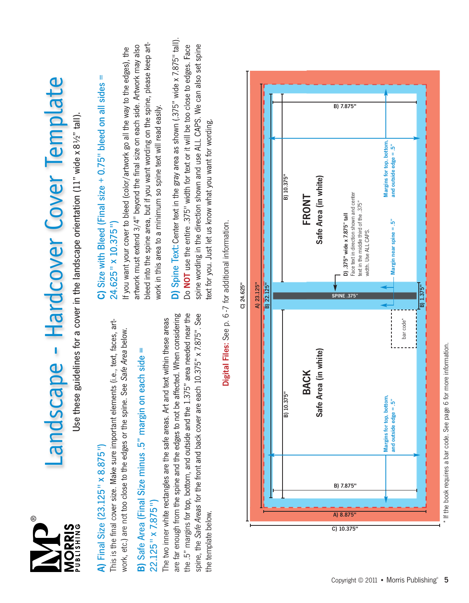

# Landscape - Hardcover Cover Template Landscape - Hardcover Cover Template

Use these guidelines for a cover in the landscape orientation (11" wide x 81/2" tall). Use these guidelines for a cover in the landscape orientation (11" wide x 8½" tall).

# A) Final Size (23.125" x 8.875") A) Final Size (23.125" x 8.875")

This is the final cover size. Make sure important elements (i.e., text, faces, art-This is the final cover size. Make sure important elements (i.e., text, faces, artwork, etc.) are not too close to the edges or the spine. See Safe Area below. work, etc.) are not too close to the edges or the spine. See Safe Area below.

# B) Safe Area (Final Size minus .5" margin on each side = B) Safe Area (Final Size minus .5" margin on each side = 22.125" x 7.875") 22.125" x 7.875")

are far enough from the spine and the edges to not be affected. When considering the .5" margins for top, bottom, and outside and the 1.375" area needed near the spine, the Safe Areas for the front and back cover are each 10.375" x 7.875". See are far enough from the spine and the edges to not be affected. When considering the .5" margins for top, bottom, and outside and the 1.375" area needed near the spine, the Safe Areas for the front and back cover are each 10.375" x 7.875". See The two inner white rectangles are the safe areas. Art and text within these areas The two inner white rectangles are the safe areas. Art and text within these areas the template below. the template below.

# Ш  $C$ ) Size with Bleed (Final size  $+0.75$ " bleed on all sides  $=$ C) Size with Bleed (Final size + 0.75" bleed on all sides  $24.625'' \times 10.375'$ 24.625" x 10.375")

bleed into the spine area, but if you want wording on the spine, please keep artbleed into the spine area, but if you want wording on the spine, please keep artartwork must extend 3/4" beyond the final size on each side. Artwork may also artwork must extend 3/4" beyond the final size on each side. Artwork may also If you want your cover to bleed (color/artwork go all the way to the edges), the If you want your cover to bleed (color/artwork go all the way to the edges), the work in this area to a minimum so spine text will read easily. work in this area to a minimum so spine text will read easily. D) Spine Text: Center text in the gray area as shown (.375" wide x 7.875" tall). D) Spine Text: Center text in the gray area as shown (.375" wide x 7.875" tall). Do NOT use the entire .375" width for text or it will be too close to edges. Face spine wording in the direction shown and use ALL CAPS. We can also set spine Do NOT use the entire .375" width for text or it will be too close to edges. Face spine wording in the direction shown and use ALL CAPS. We can also set spine ext for you. Just let us know what you want for wording. text for you. Just let us know what you want for wording.



Digital Files: See p. 6-7 for additional information. Digital Files: See p. 6 -7 for additional information.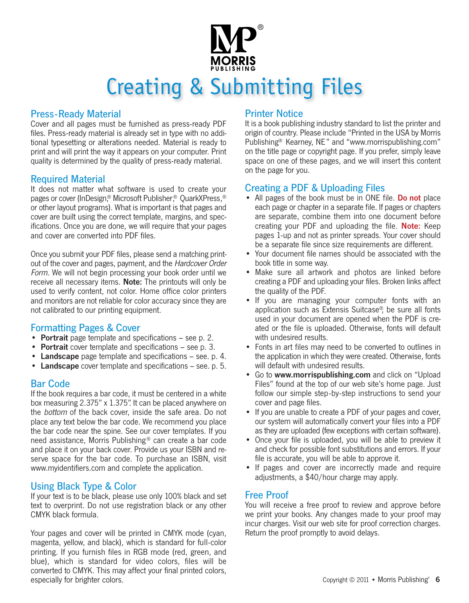

# Creating & Submitting Files

# Press-Ready Material

Cover and all pages must be furnished as press-ready PDF files. Press-ready material is already set in type with no additional typesetting or alterations needed. Material is ready to print and will print the way it appears on your computer. Print quality is determined by the quality of press-ready material.

### Required Material

It does not matter what software is used to create your pages or cover (InDesign.® Microsoft Publisher.® OuarkXPress.® or other layout programs). What is important is that pages and cover are built using the correct template, margins, and specifications. Once you are done, we will require that your pages and cover are converted into PDF files.

Once you submit your PDF files, please send a matching printout of the cover and pages, payment, and the Hardcover Order Form. We will not begin processing your book order until we receive all necessary items. Note: The printouts will only be used to verify content, not color. Home office color printers and monitors are not reliable for color accuracy since they are not calibrated to our printing equipment.

### Formatting Pages & Cover

- Portrait page template and specifications see p. 2.
- Portrait cover template and specifications see p. 3.
- Landscape page template and specifications see. p. 4.
- Landscape cover template and specifications see. p. 5.

# Bar Code

If the book requires a bar code, it must be centered in a white box measuring 2.375" x 1.375". It can be placed anywhere on the bottom of the back cover, inside the safe area. Do not place any text below the bar code. We recommend you place the bar code near the spine. See our cover templates. If you need assistance, Morris Publishing ® can create a bar code and place it on your back cover. Provide us your ISBN and reserve space for the bar code. To purchase an ISBN, visit www.myidentifiers.com and complete the application.

# Using Black Type & Color

If your text is to be black, please use only 100% black and set text to overprint. Do not use registration black or any other CMYK black formula.

Your pages and cover will be printed in CMYK mode (cyan, magenta, yellow, and black), which is standard for full-color printing. If you furnish files in RGB mode (red, green, and blue), which is standard for video colors, files will be converted to CMYK. This may affect your final printed colors, especially for brighter colors.

### Printer Notice

It is a book publishing industry standard to list the printer and origin of country. Please include "Printed in the USA by Morris Publishing® Kearney, NE" and "www.morrispublishing.com" on the title page or copyright page. If you prefer, simply leave space on one of these pages, and we will insert this content on the page for you.

### Creating a PDF & Uploading Files

- All pages of the book must be in ONE file. Do not place each page or chapter in a separate file. If pages or chapters are separate, combine them into one document before creating your PDF and uploading the file. Note: Keep pages 1-up and not as printer spreads. Your cover should be a separate file since size requirements are different.
- Your document file names should be associated with the book title in some way.
- Make sure all artwork and photos are linked before creating a PDF and uploading your files. Broken links affect the quality of the PDF.
- If you are managing your computer fonts with an application such as Extensis Suitcase®, be sure all fonts used in your document are opened when the PDF is created or the file is uploaded. Otherwise, fonts will default with undesired results.
- Fonts in art files may need to be converted to outlines in the application in which they were created. Otherwise, fonts will default with undesired results.
- Go to www.morrispublishing.com and click on "Upload" Files" found at the top of our web site's home page. Just follow our simple step-by-step instructions to send your cover and page files.
- If you are unable to create a PDF of your pages and cover, our system will automatically convert your files into a PDF asthey are uploaded (few exceptions with certain software).
- Once your file is uploaded, you will be able to preview it and check for possible font substitutions and errors. If your file is accurate, you will be able to approve it.
- If pages and cover are incorrectly made and require adjustments, a \$40/hour charge may apply.

### Free Proof

You will receive a free proof to review and approve before we print your books. Any changes made to your proof may incur charges. Visit our web site for proof correction charges. Return the proof promptly to avoid delays.